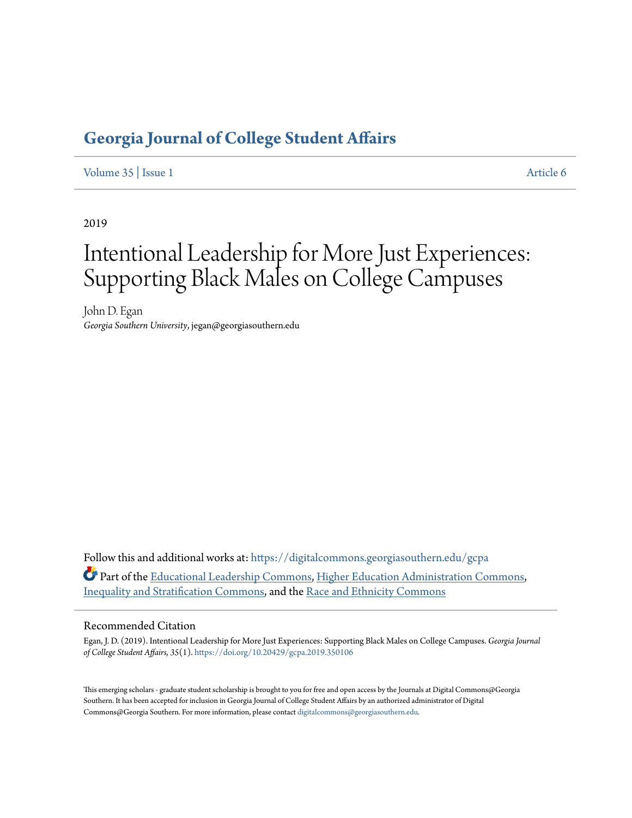## **[Georgia Journal of College Student Affairs](https://digitalcommons.georgiasouthern.edu/gcpa?utm_source=digitalcommons.georgiasouthern.edu%2Fgcpa%2Fvol35%2Fiss1%2F6&utm_medium=PDF&utm_campaign=PDFCoverPages)**

[Volume 35](https://digitalcommons.georgiasouthern.edu/gcpa/vol35?utm_source=digitalcommons.georgiasouthern.edu%2Fgcpa%2Fvol35%2Fiss1%2F6&utm_medium=PDF&utm_campaign=PDFCoverPages) | [Issue 1](https://digitalcommons.georgiasouthern.edu/gcpa/vol35/iss1?utm_source=digitalcommons.georgiasouthern.edu%2Fgcpa%2Fvol35%2Fiss1%2F6&utm_medium=PDF&utm_campaign=PDFCoverPages) [Article 6](https://digitalcommons.georgiasouthern.edu/gcpa/vol35/iss1/6?utm_source=digitalcommons.georgiasouthern.edu%2Fgcpa%2Fvol35%2Fiss1%2F6&utm_medium=PDF&utm_campaign=PDFCoverPages)

2019

# Intentional Leadership for More Just Experiences: Supporting Black Males on College Campuses

John D. Egan *Georgia Southern University*, jegan@georgiasouthern.edu

Follow this and additional works at: [https://digitalcommons.georgiasouthern.edu/gcpa](https://digitalcommons.georgiasouthern.edu/gcpa?utm_source=digitalcommons.georgiasouthern.edu%2Fgcpa%2Fvol35%2Fiss1%2F6&utm_medium=PDF&utm_campaign=PDFCoverPages) Part of the [Educational Leadership Commons](http://network.bepress.com/hgg/discipline/1230?utm_source=digitalcommons.georgiasouthern.edu%2Fgcpa%2Fvol35%2Fiss1%2F6&utm_medium=PDF&utm_campaign=PDFCoverPages), [Higher Education Administration Commons](http://network.bepress.com/hgg/discipline/791?utm_source=digitalcommons.georgiasouthern.edu%2Fgcpa%2Fvol35%2Fiss1%2F6&utm_medium=PDF&utm_campaign=PDFCoverPages), [Inequality and Stratification Commons](http://network.bepress.com/hgg/discipline/421?utm_source=digitalcommons.georgiasouthern.edu%2Fgcpa%2Fvol35%2Fiss1%2F6&utm_medium=PDF&utm_campaign=PDFCoverPages), and the [Race and Ethnicity Commons](http://network.bepress.com/hgg/discipline/426?utm_source=digitalcommons.georgiasouthern.edu%2Fgcpa%2Fvol35%2Fiss1%2F6&utm_medium=PDF&utm_campaign=PDFCoverPages)

#### Recommended Citation

Egan, J. D. (2019). Intentional Leadership for More Just Experiences: Supporting Black Males on College Campuses. *Georgia Journal of College Student Affairs, 35*(1). <https://doi.org/10.20429/gcpa.2019.350106>

This emerging scholars - graduate student scholarship is brought to you for free and open access by the Journals at Digital Commons@Georgia Southern. It has been accepted for inclusion in Georgia Journal of College Student Affairs by an authorized administrator of Digital Commons@Georgia Southern. For more information, please contact [digitalcommons@georgiasouthern.edu.](mailto:digitalcommons@georgiasouthern.edu)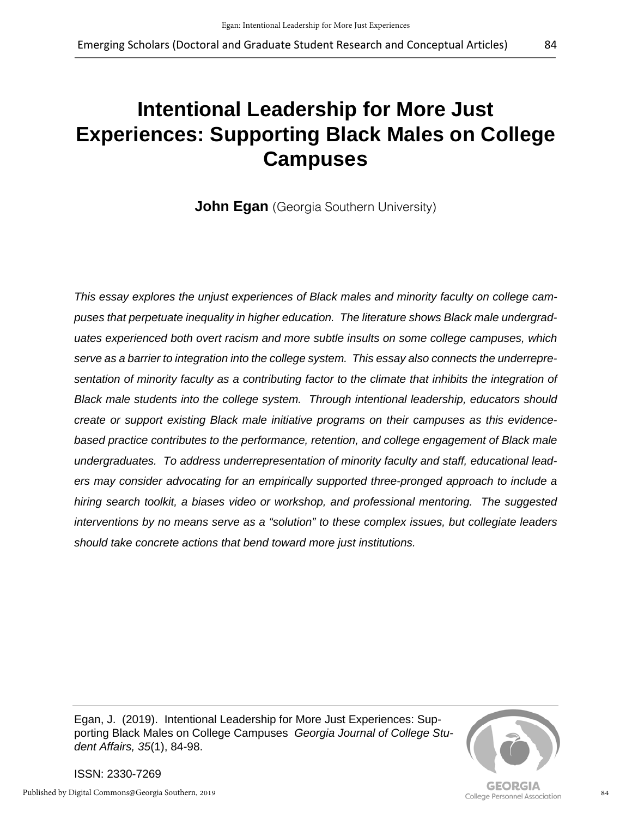# **Intentional Leadership for More Just Experiences: Supporting Black Males on College Campuses**

**John Egan** (Georgia Southern University)

*This essay explores the unjust experiences of Black males and minority faculty on college campuses that perpetuate inequality in higher education. The literature shows Black male undergraduates experienced both overt racism and more subtle insults on some college campuses, which serve as a barrier to integration into the college system. This essay also connects the underrepresentation of minority faculty as a contributing factor to the climate that inhibits the integration of Black male students into the college system. Through intentional leadership, educators should create or support existing Black male initiative programs on their campuses as this evidencebased practice contributes to the performance, retention, and college engagement of Black male undergraduates. To address underrepresentation of minority faculty and staff, educational leaders may consider advocating for an empirically supported three-pronged approach to include a hiring search toolkit, a biases video or workshop, and professional mentoring. The suggested interventions by no means serve as a "solution" to these complex issues, but collegiate leaders should take concrete actions that bend toward more just institutions.*

Egan, J. (2019). Intentional Leadership for More Just Experiences: Supporting Black Males on College Campuses *Georgia Journal of College Student Affairs, 35*(1), 84-98.



ISSN: 2330-7269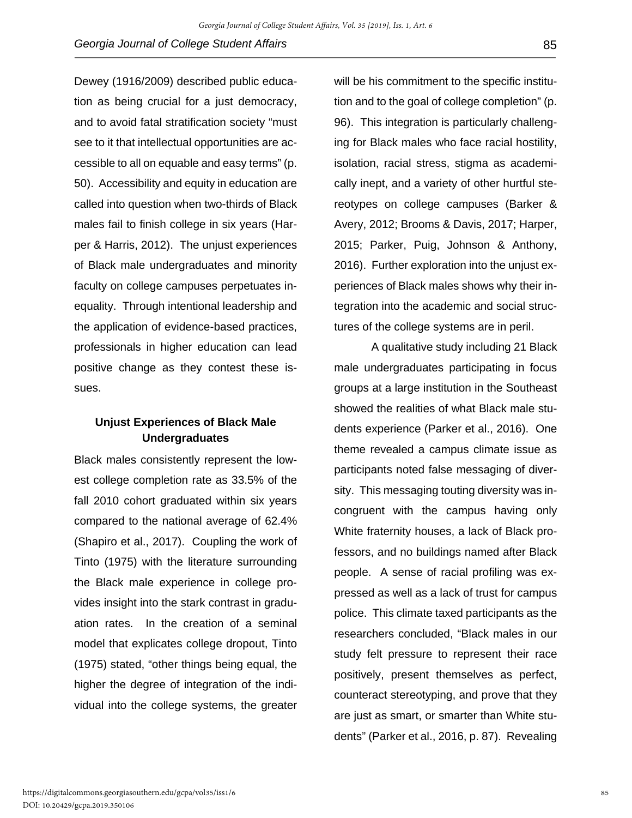Dewey (1916/2009) described public education as being crucial for a just democracy, and to avoid fatal stratification society "must see to it that intellectual opportunities are accessible to all on equable and easy terms" (p. 50). Accessibility and equity in education are called into question when two-thirds of Black males fail to finish college in six years (Harper & Harris, 2012). The unjust experiences of Black male undergraduates and minority faculty on college campuses perpetuates inequality. Through intentional leadership and the application of evidence-based practices, professionals in higher education can lead positive change as they contest these issues.

### **Unjust Experiences of Black Male Undergraduates**

Black males consistently represent the lowest college completion rate as 33.5% of the fall 2010 cohort graduated within six years compared to the national average of 62.4% (Shapiro et al., 2017). Coupling the work of Tinto (1975) with the literature surrounding the Black male experience in college provides insight into the stark contrast in graduation rates. In the creation of a seminal model that explicates college dropout, Tinto (1975) stated, "other things being equal, the higher the degree of integration of the individual into the college systems, the greater

will be his commitment to the specific institution and to the goal of college completion" (p. 96). This integration is particularly challenging for Black males who face racial hostility, isolation, racial stress, stigma as academically inept, and a variety of other hurtful stereotypes on college campuses (Barker & Avery, 2012; Brooms & Davis, 2017; Harper, 2015; Parker, Puig, Johnson & Anthony, 2016). Further exploration into the unjust experiences of Black males shows why their integration into the academic and social structures of the college systems are in peril.

A qualitative study including 21 Black male undergraduates participating in focus groups at a large institution in the Southeast showed the realities of what Black male students experience (Parker et al., 2016). One theme revealed a campus climate issue as participants noted false messaging of diversity. This messaging touting diversity was incongruent with the campus having only White fraternity houses, a lack of Black professors, and no buildings named after Black people. A sense of racial profiling was expressed as well as a lack of trust for campus police. This climate taxed participants as the researchers concluded, "Black males in our study felt pressure to represent their race positively, present themselves as perfect, counteract stereotyping, and prove that they are just as smart, or smarter than White students" (Parker et al., 2016, p. 87). Revealing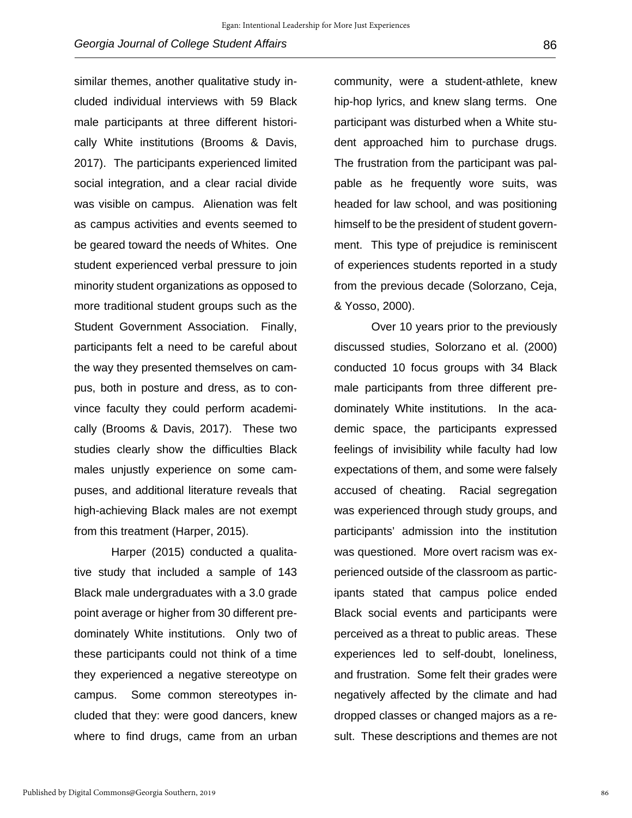similar themes, another qualitative study included individual interviews with 59 Black male participants at three different historically White institutions (Brooms & Davis, 2017). The participants experienced limited social integration, and a clear racial divide was visible on campus. Alienation was felt as campus activities and events seemed to be geared toward the needs of Whites. One student experienced verbal pressure to join minority student organizations as opposed to more traditional student groups such as the Student Government Association. Finally, participants felt a need to be careful about the way they presented themselves on campus, both in posture and dress, as to convince faculty they could perform academically (Brooms & Davis, 2017). These two studies clearly show the difficulties Black males unjustly experience on some campuses, and additional literature reveals that high-achieving Black males are not exempt from this treatment (Harper, 2015).

Harper (2015) conducted a qualitative study that included a sample of 143 Black male undergraduates with a 3.0 grade point average or higher from 30 different predominately White institutions. Only two of these participants could not think of a time they experienced a negative stereotype on campus. Some common stereotypes included that they: were good dancers, knew where to find drugs, came from an urban

community, were a student-athlete, knew hip-hop lyrics, and knew slang terms. One participant was disturbed when a White student approached him to purchase drugs. The frustration from the participant was palpable as he frequently wore suits, was headed for law school, and was positioning himself to be the president of student government. This type of prejudice is reminiscent of experiences students reported in a study from the previous decade (Solorzano, Ceja, & Yosso, 2000).

Over 10 years prior to the previously discussed studies, Solorzano et al. (2000) conducted 10 focus groups with 34 Black male participants from three different predominately White institutions. In the academic space, the participants expressed feelings of invisibility while faculty had low expectations of them, and some were falsely accused of cheating. Racial segregation was experienced through study groups, and participants' admission into the institution was questioned. More overt racism was experienced outside of the classroom as participants stated that campus police ended Black social events and participants were perceived as a threat to public areas. These experiences led to self-doubt, loneliness, and frustration. Some felt their grades were negatively affected by the climate and had dropped classes or changed majors as a result. These descriptions and themes are not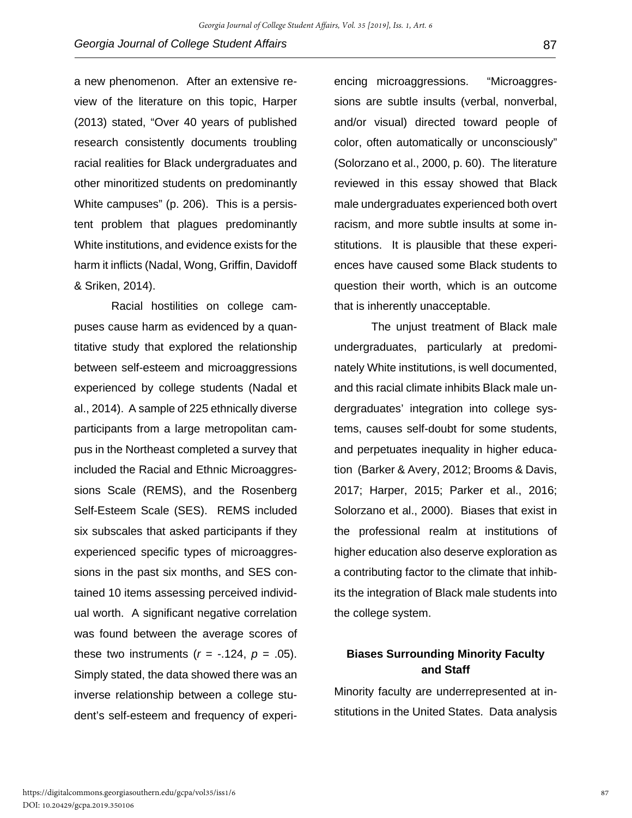a new phenomenon. After an extensive review of the literature on this topic, Harper (2013) stated, "Over 40 years of published research consistently documents troubling racial realities for Black undergraduates and other minoritized students on predominantly White campuses" (p. 206). This is a persistent problem that plagues predominantly White institutions, and evidence exists for the harm it inflicts (Nadal, Wong, Griffin, Davidoff & Sriken, 2014).

Racial hostilities on college campuses cause harm as evidenced by a quantitative study that explored the relationship between self-esteem and microaggressions experienced by college students (Nadal et al., 2014). A sample of 225 ethnically diverse participants from a large metropolitan campus in the Northeast completed a survey that included the Racial and Ethnic Microaggressions Scale (REMS), and the Rosenberg Self-Esteem Scale (SES). REMS included six subscales that asked participants if they experienced specific types of microaggressions in the past six months, and SES contained 10 items assessing perceived individual worth. A significant negative correlation was found between the average scores of these two instruments  $(r = -.124, p = .05)$ . Simply stated, the data showed there was an inverse relationship between a college student's self-esteem and frequency of experi-

encing microaggressions. "Microaggressions are subtle insults (verbal, nonverbal, and/or visual) directed toward people of color, often automatically or unconsciously" (Solorzano et al., 2000, p. 60). The literature reviewed in this essay showed that Black male undergraduates experienced both overt racism, and more subtle insults at some institutions. It is plausible that these experiences have caused some Black students to question their worth, which is an outcome that is inherently unacceptable.

The unjust treatment of Black male undergraduates, particularly at predominately White institutions, is well documented, and this racial climate inhibits Black male undergraduates' integration into college systems, causes self-doubt for some students, and perpetuates inequality in higher education (Barker & Avery, 2012; Brooms & Davis, 2017; Harper, 2015; Parker et al., 2016; Solorzano et al., 2000). Biases that exist in the professional realm at institutions of higher education also deserve exploration as a contributing factor to the climate that inhibits the integration of Black male students into the college system.

### **Biases Surrounding Minority Faculty and Staff**

Minority faculty are underrepresented at institutions in the United States. Data analysis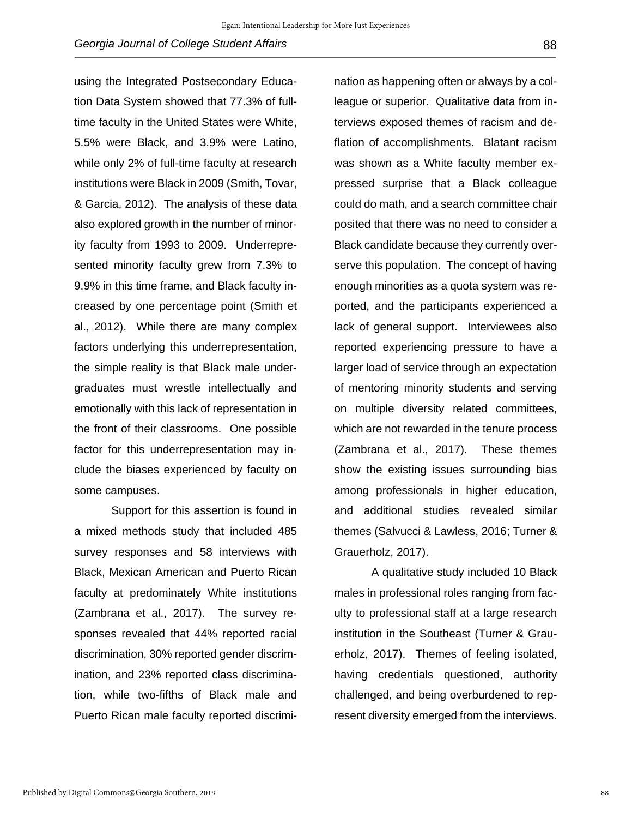using the Integrated Postsecondary Education Data System showed that 77.3% of fulltime faculty in the United States were White, 5.5% were Black, and 3.9% were Latino, while only 2% of full-time faculty at research institutions were Black in 2009 (Smith, Tovar, & Garcia, 2012). The analysis of these data also explored growth in the number of minority faculty from 1993 to 2009. Underrepresented minority faculty grew from 7.3% to 9.9% in this time frame, and Black faculty increased by one percentage point (Smith et al., 2012). While there are many complex factors underlying this underrepresentation, the simple reality is that Black male undergraduates must wrestle intellectually and emotionally with this lack of representation in the front of their classrooms. One possible factor for this underrepresentation may include the biases experienced by faculty on some campuses.

Support for this assertion is found in a mixed methods study that included 485 survey responses and 58 interviews with Black, Mexican American and Puerto Rican faculty at predominately White institutions (Zambrana et al., 2017). The survey responses revealed that 44% reported racial discrimination, 30% reported gender discrimination, and 23% reported class discrimination, while two-fifths of Black male and Puerto Rican male faculty reported discrimi-

nation as happening often or always by a colleague or superior. Qualitative data from interviews exposed themes of racism and deflation of accomplishments. Blatant racism was shown as a White faculty member expressed surprise that a Black colleague could do math, and a search committee chair posited that there was no need to consider a Black candidate because they currently overserve this population. The concept of having enough minorities as a quota system was reported, and the participants experienced a lack of general support. Interviewees also reported experiencing pressure to have a larger load of service through an expectation of mentoring minority students and serving on multiple diversity related committees, which are not rewarded in the tenure process (Zambrana et al., 2017). These themes show the existing issues surrounding bias among professionals in higher education, and additional studies revealed similar themes (Salvucci & Lawless, 2016; Turner & Grauerholz, 2017).

A qualitative study included 10 Black males in professional roles ranging from faculty to professional staff at a large research institution in the Southeast (Turner & Grauerholz, 2017). Themes of feeling isolated, having credentials questioned, authority challenged, and being overburdened to represent diversity emerged from the interviews.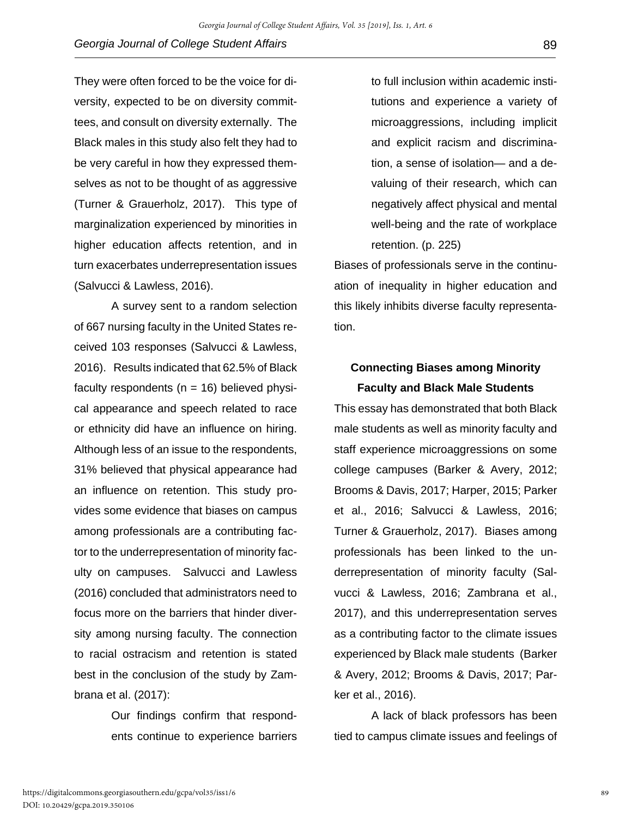They were often forced to be the voice for diversity, expected to be on diversity committees, and consult on diversity externally. The Black males in this study also felt they had to be very careful in how they expressed themselves as not to be thought of as aggressive (Turner & Grauerholz, 2017). This type of marginalization experienced by minorities in higher education affects retention, and in turn exacerbates underrepresentation issues (Salvucci & Lawless, 2016).

A survey sent to a random selection of 667 nursing faculty in the United States received 103 responses (Salvucci & Lawless, 2016). Results indicated that 62.5% of Black faculty respondents ( $n = 16$ ) believed physical appearance and speech related to race or ethnicity did have an influence on hiring. Although less of an issue to the respondents, 31% believed that physical appearance had an influence on retention. This study provides some evidence that biases on campus among professionals are a contributing factor to the underrepresentation of minority faculty on campuses. Salvucci and Lawless (2016) concluded that administrators need to focus more on the barriers that hinder diversity among nursing faculty. The connection to racial ostracism and retention is stated best in the conclusion of the study by Zambrana et al. (2017):

> Our findings confirm that respondents continue to experience barriers

to full inclusion within academic institutions and experience a variety of microaggressions, including implicit and explicit racism and discrimination, a sense of isolation— and a devaluing of their research, which can negatively affect physical and mental well-being and the rate of workplace retention. (p. 225)

Biases of professionals serve in the continuation of inequality in higher education and this likely inhibits diverse faculty representation.

## **Connecting Biases among Minority Faculty and Black Male Students**

This essay has demonstrated that both Black male students as well as minority faculty and staff experience microaggressions on some college campuses (Barker & Avery, 2012; Brooms & Davis, 2017; Harper, 2015; Parker et al., 2016; Salvucci & Lawless, 2016; Turner & Grauerholz, 2017). Biases among professionals has been linked to the underrepresentation of minority faculty (Salvucci & Lawless, 2016; Zambrana et al., 2017), and this underrepresentation serves as a contributing factor to the climate issues experienced by Black male students (Barker & Avery, 2012; Brooms & Davis, 2017; Parker et al., 2016).

A lack of black professors has been tied to campus climate issues and feelings of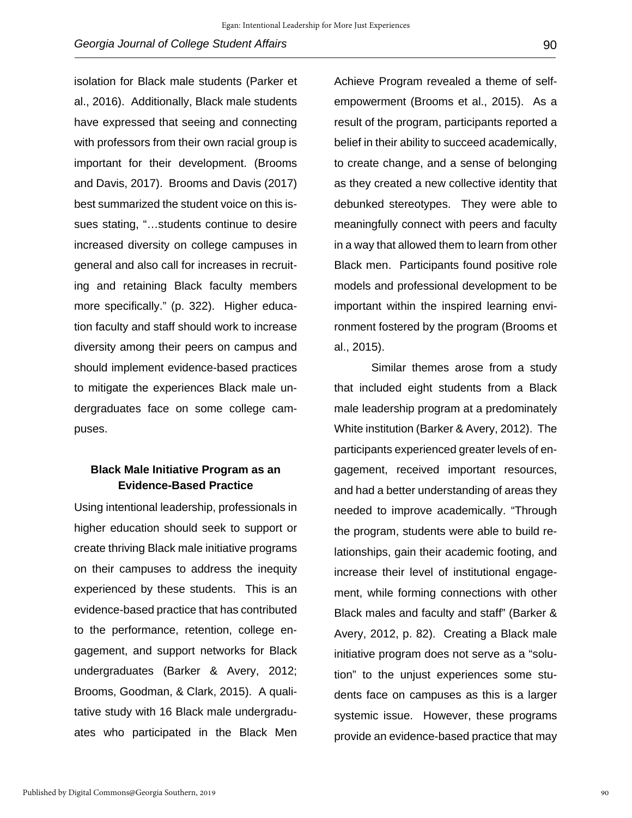isolation for Black male students (Parker et al., 2016). Additionally, Black male students have expressed that seeing and connecting with professors from their own racial group is important for their development. (Brooms and Davis, 2017). Brooms and Davis (2017) best summarized the student voice on this issues stating, "…students continue to desire increased diversity on college campuses in general and also call for increases in recruiting and retaining Black faculty members more specifically." (p. 322). Higher education faculty and staff should work to increase diversity among their peers on campus and should implement evidence-based practices to mitigate the experiences Black male undergraduates face on some college campuses.

#### **Black Male Initiative Program as an Evidence-Based Practice**

Using intentional leadership, professionals in higher education should seek to support or create thriving Black male initiative programs on their campuses to address the inequity experienced by these students. This is an evidence-based practice that has contributed to the performance, retention, college engagement, and support networks for Black undergraduates (Barker & Avery, 2012; Brooms, Goodman, & Clark, 2015). A qualitative study with 16 Black male undergraduates who participated in the Black Men Achieve Program revealed a theme of selfempowerment (Brooms et al., 2015). As a result of the program, participants reported a belief in their ability to succeed academically, to create change, and a sense of belonging as they created a new collective identity that debunked stereotypes. They were able to meaningfully connect with peers and faculty in a way that allowed them to learn from other Black men. Participants found positive role models and professional development to be important within the inspired learning environment fostered by the program (Brooms et al., 2015).

Similar themes arose from a study that included eight students from a Black male leadership program at a predominately White institution (Barker & Avery, 2012). The participants experienced greater levels of engagement, received important resources, and had a better understanding of areas they needed to improve academically. "Through the program, students were able to build relationships, gain their academic footing, and increase their level of institutional engagement, while forming connections with other Black males and faculty and staff" (Barker & Avery, 2012, p. 82). Creating a Black male initiative program does not serve as a "solution" to the unjust experiences some students face on campuses as this is a larger systemic issue. However, these programs provide an evidence-based practice that may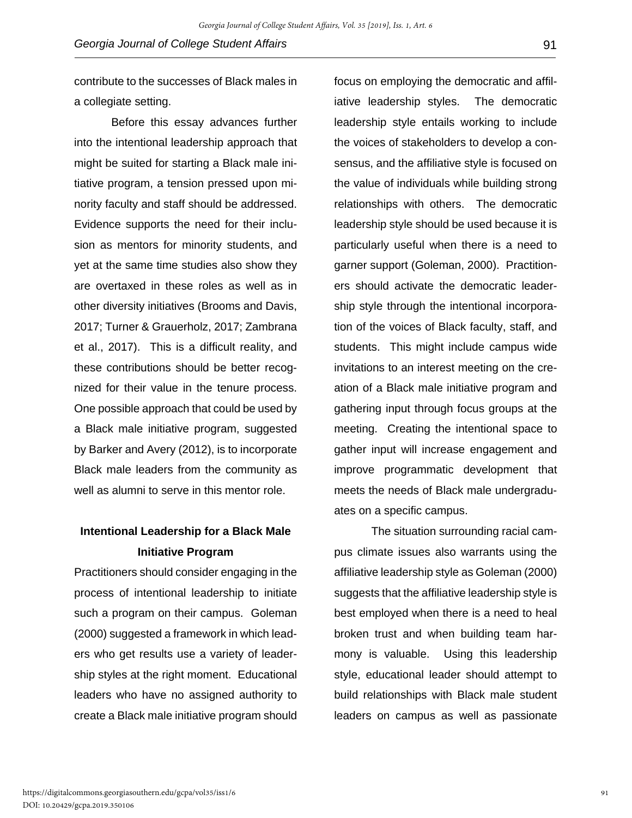contribute to the successes of Black males in a collegiate setting.

Before this essay advances further into the intentional leadership approach that might be suited for starting a Black male initiative program, a tension pressed upon minority faculty and staff should be addressed. Evidence supports the need for their inclusion as mentors for minority students, and yet at the same time studies also show they are overtaxed in these roles as well as in other diversity initiatives (Brooms and Davis, 2017; Turner & Grauerholz, 2017; Zambrana et al., 2017). This is a difficult reality, and these contributions should be better recognized for their value in the tenure process. One possible approach that could be used by a Black male initiative program, suggested by Barker and Avery (2012), is to incorporate Black male leaders from the community as well as alumni to serve in this mentor role.

## **Intentional Leadership for a Black Male Initiative Program**

Practitioners should consider engaging in the process of intentional leadership to initiate such a program on their campus. Goleman (2000) suggested a framework in which leaders who get results use a variety of leadership styles at the right moment. Educational leaders who have no assigned authority to create a Black male initiative program should

focus on employing the democratic and affiliative leadership styles. The democratic leadership style entails working to include the voices of stakeholders to develop a consensus, and the affiliative style is focused on the value of individuals while building strong relationships with others. The democratic leadership style should be used because it is particularly useful when there is a need to garner support (Goleman, 2000). Practitioners should activate the democratic leadership style through the intentional incorporation of the voices of Black faculty, staff, and students. This might include campus wide invitations to an interest meeting on the creation of a Black male initiative program and gathering input through focus groups at the meeting. Creating the intentional space to gather input will increase engagement and improve programmatic development that meets the needs of Black male undergraduates on a specific campus.

The situation surrounding racial campus climate issues also warrants using the affiliative leadership style as Goleman (2000) suggests that the affiliative leadership style is best employed when there is a need to heal broken trust and when building team harmony is valuable. Using this leadership style, educational leader should attempt to build relationships with Black male student leaders on campus as well as passionate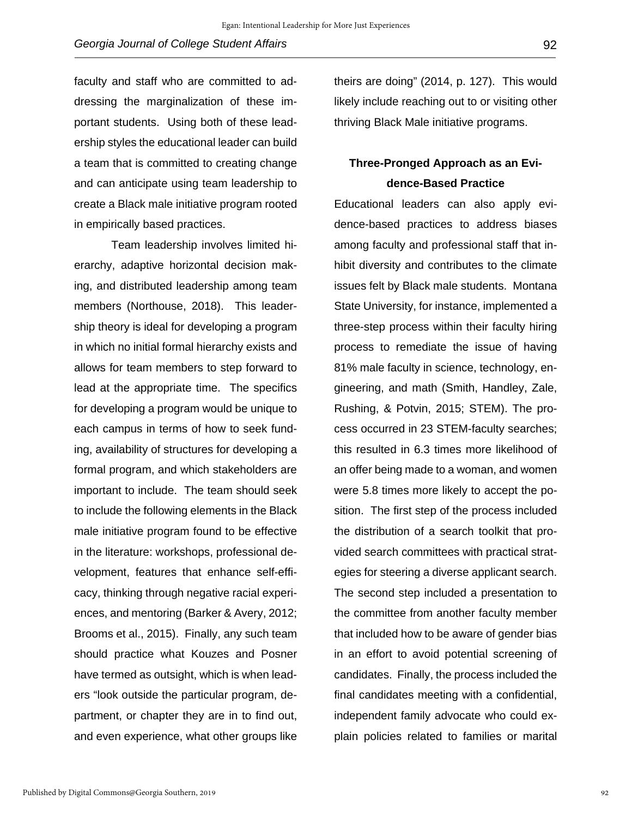faculty and staff who are committed to addressing the marginalization of these important students. Using both of these leadership styles the educational leader can build a team that is committed to creating change and can anticipate using team leadership to create a Black male initiative program rooted in empirically based practices.

Team leadership involves limited hierarchy, adaptive horizontal decision making, and distributed leadership among team members (Northouse, 2018). This leadership theory is ideal for developing a program in which no initial formal hierarchy exists and allows for team members to step forward to lead at the appropriate time. The specifics for developing a program would be unique to each campus in terms of how to seek funding, availability of structures for developing a formal program, and which stakeholders are important to include. The team should seek to include the following elements in the Black male initiative program found to be effective in the literature: workshops, professional development, features that enhance self-efficacy, thinking through negative racial experiences, and mentoring (Barker & Avery, 2012; Brooms et al., 2015). Finally, any such team should practice what Kouzes and Posner have termed as outsight, which is when leaders "look outside the particular program, department, or chapter they are in to find out, and even experience, what other groups like

theirs are doing" (2014, p. 127). This would likely include reaching out to or visiting other thriving Black Male initiative programs.

## **Three-Pronged Approach as an Evidence-Based Practice**

Educational leaders can also apply evidence-based practices to address biases among faculty and professional staff that inhibit diversity and contributes to the climate issues felt by Black male students. Montana State University, for instance, implemented a three-step process within their faculty hiring process to remediate the issue of having 81% male faculty in science, technology, engineering, and math (Smith, Handley, Zale, Rushing, & Potvin, 2015; STEM). The process occurred in 23 STEM-faculty searches; this resulted in 6.3 times more likelihood of an offer being made to a woman, and women were 5.8 times more likely to accept the position. The first step of the process included the distribution of a search toolkit that provided search committees with practical strategies for steering a diverse applicant search. The second step included a presentation to the committee from another faculty member that included how to be aware of gender bias in an effort to avoid potential screening of candidates. Finally, the process included the final candidates meeting with a confidential, independent family advocate who could explain policies related to families or marital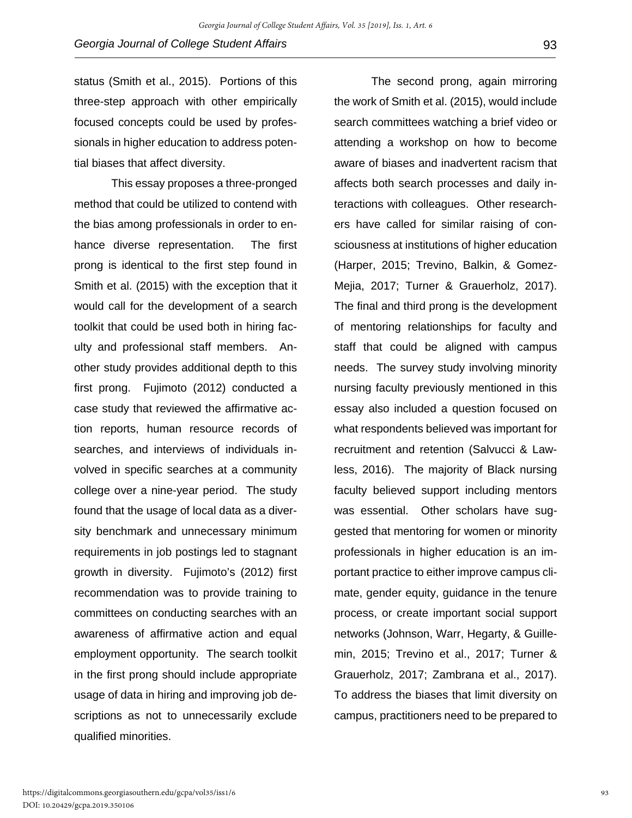status (Smith et al., 2015). Portions of this three-step approach with other empirically focused concepts could be used by professionals in higher education to address potential biases that affect diversity.

This essay proposes a three-pronged method that could be utilized to contend with the bias among professionals in order to enhance diverse representation. The first prong is identical to the first step found in Smith et al. (2015) with the exception that it would call for the development of a search toolkit that could be used both in hiring faculty and professional staff members. Another study provides additional depth to this first prong. Fujimoto (2012) conducted a case study that reviewed the affirmative action reports, human resource records of searches, and interviews of individuals involved in specific searches at a community college over a nine-year period. The study found that the usage of local data as a diversity benchmark and unnecessary minimum requirements in job postings led to stagnant growth in diversity. Fujimoto's (2012) first recommendation was to provide training to committees on conducting searches with an awareness of affirmative action and equal employment opportunity. The search toolkit in the first prong should include appropriate usage of data in hiring and improving job descriptions as not to unnecessarily exclude qualified minorities.

The second prong, again mirroring the work of Smith et al. (2015), would include search committees watching a brief video or attending a workshop on how to become aware of biases and inadvertent racism that affects both search processes and daily interactions with colleagues. Other researchers have called for similar raising of consciousness at institutions of higher education (Harper, 2015; Trevino, Balkin, & Gomez-Mejia, 2017; Turner & Grauerholz, 2017). The final and third prong is the development of mentoring relationships for faculty and staff that could be aligned with campus needs. The survey study involving minority nursing faculty previously mentioned in this essay also included a question focused on what respondents believed was important for recruitment and retention (Salvucci & Lawless, 2016). The majority of Black nursing faculty believed support including mentors was essential. Other scholars have suggested that mentoring for women or minority professionals in higher education is an important practice to either improve campus climate, gender equity, guidance in the tenure process, or create important social support networks (Johnson, Warr, Hegarty, & Guillemin, 2015; Trevino et al., 2017; Turner & Grauerholz, 2017; Zambrana et al., 2017). To address the biases that limit diversity on campus, practitioners need to be prepared to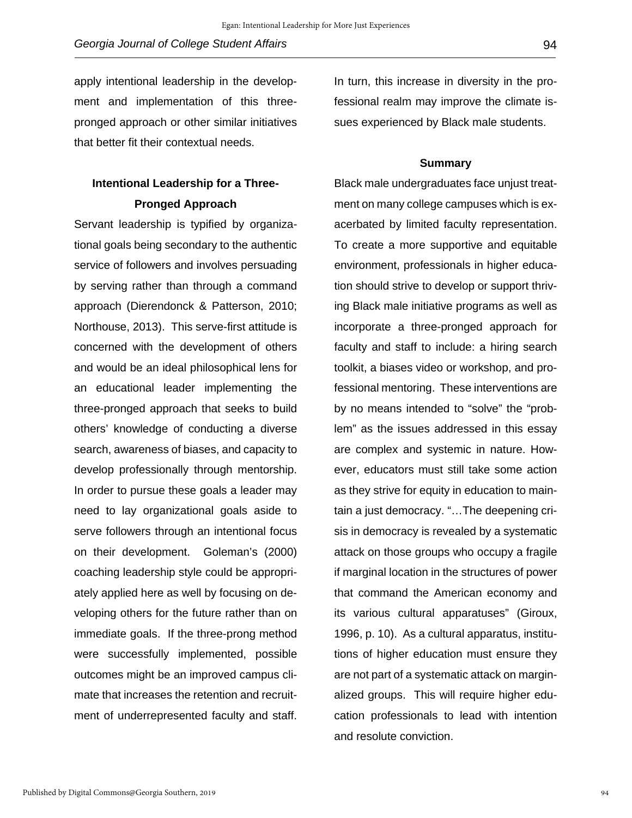apply intentional leadership in the development and implementation of this threepronged approach or other similar initiatives that better fit their contextual needs.

## **Intentional Leadership for a Three-Pronged Approach**

Servant leadership is typified by organizational goals being secondary to the authentic service of followers and involves persuading by serving rather than through a command approach (Dierendonck & Patterson, 2010; Northouse, 2013). This serve-first attitude is concerned with the development of others and would be an ideal philosophical lens for an educational leader implementing the three-pronged approach that seeks to build others' knowledge of conducting a diverse search, awareness of biases, and capacity to develop professionally through mentorship. In order to pursue these goals a leader may need to lay organizational goals aside to serve followers through an intentional focus on their development. Goleman's (2000) coaching leadership style could be appropriately applied here as well by focusing on developing others for the future rather than on immediate goals. If the three-prong method were successfully implemented, possible outcomes might be an improved campus climate that increases the retention and recruitment of underrepresented faculty and staff.

In turn, this increase in diversity in the professional realm may improve the climate issues experienced by Black male students.

#### **Summary**

Black male undergraduates face unjust treatment on many college campuses which is exacerbated by limited faculty representation. To create a more supportive and equitable environment, professionals in higher education should strive to develop or support thriving Black male initiative programs as well as incorporate a three-pronged approach for faculty and staff to include: a hiring search toolkit, a biases video or workshop, and professional mentoring. These interventions are by no means intended to "solve" the "problem" as the issues addressed in this essay are complex and systemic in nature. However, educators must still take some action as they strive for equity in education to maintain a just democracy. "…The deepening crisis in democracy is revealed by a systematic attack on those groups who occupy a fragile if marginal location in the structures of power that command the American economy and its various cultural apparatuses" (Giroux, 1996, p. 10). As a cultural apparatus, institutions of higher education must ensure they are not part of a systematic attack on marginalized groups. This will require higher education professionals to lead with intention and resolute conviction.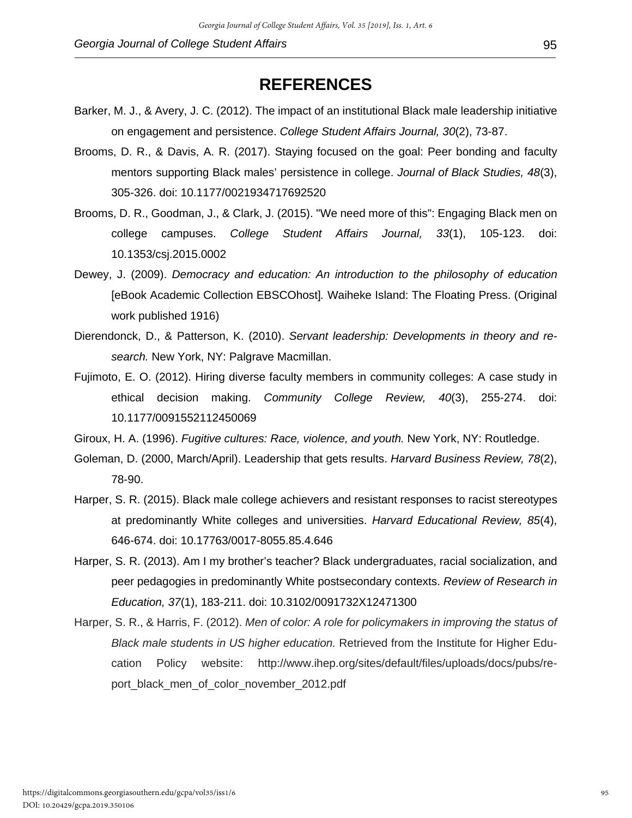- Barker, M. J., & Avery, J. C. (2012). The impact of an institutional Black male leadership initiative on engagement and persistence. *College Student Affairs Journal, 30*(2), 73-87.
- Brooms, D. R., & Davis, A. R. (2017). Staying focused on the goal: Peer bonding and faculty mentors supporting Black males' persistence in college. *Journal of Black Studies, 48*(3), 305-326. doi: 10.1177/0021934717692520
- Brooms, D. R., Goodman, J., & Clark, J. (2015). "We need more of this": Engaging Black men on college campuses. *College Student Affairs Journal, 33*(1), 105-123. doi: 10.1353/csj.2015.0002
- Dewey, J. (2009). *Democracy and education: An introduction to the philosophy of education*  [eBook Academic Collection EBSCOhost]*.* Waiheke Island: The Floating Press. (Original work published 1916)
- Dierendonck, D., & Patterson, K. (2010). *Servant leadership: Developments in theory and research.* New York, NY: Palgrave Macmillan.
- Fujimoto, E. O. (2012). Hiring diverse faculty members in community colleges: A case study in ethical decision making. *Community College Review, 40*(3), 255-274. doi: 10.1177/0091552112450069
- Giroux, H. A. (1996). *Fugitive cultures: Race, violence, and youth.* New York, NY: Routledge.
- Goleman, D. (2000, March/April). Leadership that gets results. *Harvard Business Review, 78*(2), 78-90.
- Harper, S. R. (2015). Black male college achievers and resistant responses to racist stereotypes at predominantly White colleges and universities. *Harvard Educational Review, 85*(4), 646-674. doi: 10.17763/0017-8055.85.4.646
- Harper, S. R. (2013). Am I my brother's teacher? Black undergraduates, racial socialization, and peer pedagogies in predominantly White postsecondary contexts. *Review of Research in Education, 37*(1), 183-211. doi: 10.3102/0091732X12471300
- Harper, S. R., & Harris, F. (2012). *Men of color: A role for policymakers in improving the status of Black male students in US higher education.* Retrieved from the Institute for Higher Education Policy website: http://www.ihep.org/sites/default/files/uploads/docs/pubs/report black men of color november 2012.pdf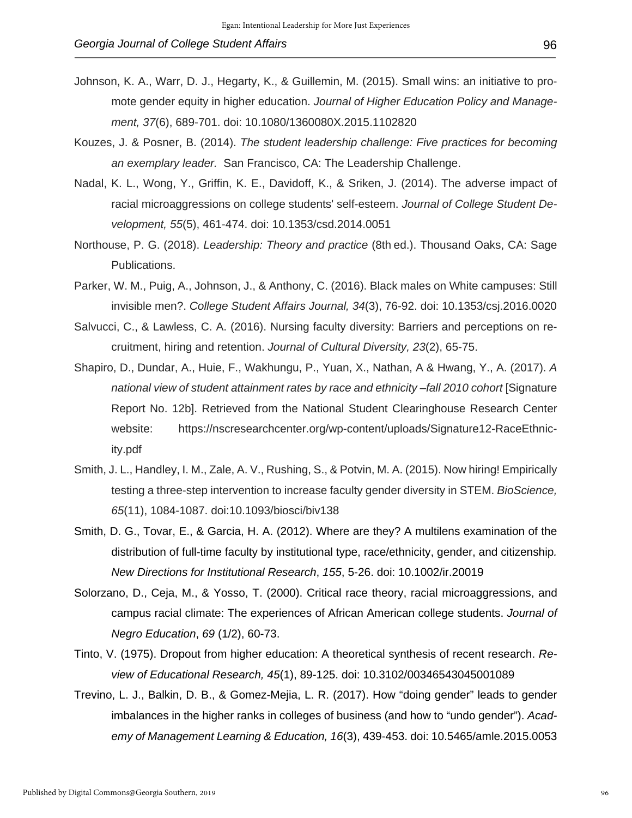- Johnson, K. A., Warr, D. J., Hegarty, K., & Guillemin, M. (2015). Small wins: an initiative to promote gender equity in higher education. *Journal of Higher Education Policy and Management, 37*(6), 689-701. doi: 10.1080/1360080X.2015.1102820
- Kouzes, J. & Posner, B. (2014). *The student leadership challenge: Five practices for becoming an exemplary leader.* San Francisco, CA: The Leadership Challenge.
- Nadal, K. L., Wong, Y., Griffin, K. E., Davidoff, K., & Sriken, J. (2014). The adverse impact of racial microaggressions on college students' self-esteem. *Journal of College Student Development, 55*(5), 461-474. doi: 10.1353/csd.2014.0051
- Northouse, P. G. (2018). *Leadership: Theory and practice* (8th ed.). Thousand Oaks, CA: Sage Publications.
- Parker, W. M., Puig, A., Johnson, J., & Anthony, C. (2016). Black males on White campuses: Still invisible men?. *College Student Affairs Journal, 34*(3), 76-92. doi: 10.1353/csj.2016.0020
- Salvucci, C., & Lawless, C. A. (2016). Nursing faculty diversity: Barriers and perceptions on recruitment, hiring and retention. *Journal of Cultural Diversity, 23*(2), 65-75.
- Shapiro, D., Dundar, A., Huie, F., Wakhungu, P., Yuan, X., Nathan, A & Hwang, Y., A. (2017). *A national view of student attainment rates by race and ethnicity –fall 2010 cohort* [Signature Report No. 12b]. Retrieved from the National Student Clearinghouse Research Center website: https://nscresearchcenter.org/wp-content/uploads/Signature12-RaceEthnicity.pdf
- Smith, J. L., Handley, I. M., Zale, A. V., Rushing, S., & Potvin, M. A. (2015). Now hiring! Empirically testing a three-step intervention to increase faculty gender diversity in STEM. *BioScience, 65*(11), 1084-1087. doi:10.1093/biosci/biv138
- Smith, D. G., Tovar, E., & Garcia, H. A. (2012). Where are they? A multilens examination of the distribution of full-time faculty by institutional type, race/ethnicity, gender, and citizenship*. New Directions for Institutional Research*, *155*, 5-26. doi: 10.1002/ir.20019
- Solorzano, D., Ceja, M., & Yosso, T. (2000). Critical race theory, racial microaggressions, and campus racial climate: The experiences of African American college students. *Journal of Negro Education*, *69* (1/2), 60-73.
- Tinto, V. (1975). Dropout from higher education: A theoretical synthesis of recent research. *Review of Educational Research, 45*(1), 89-125. doi: 10.3102/00346543045001089
- Trevino, L. J., Balkin, D. B., & Gomez-Mejia, L. R. (2017). How "doing gender" leads to gender imbalances in the higher ranks in colleges of business (and how to "undo gender"). *Academy of Management Learning & Education, 16*(3), 439-453. doi: 10.5465/amle.2015.0053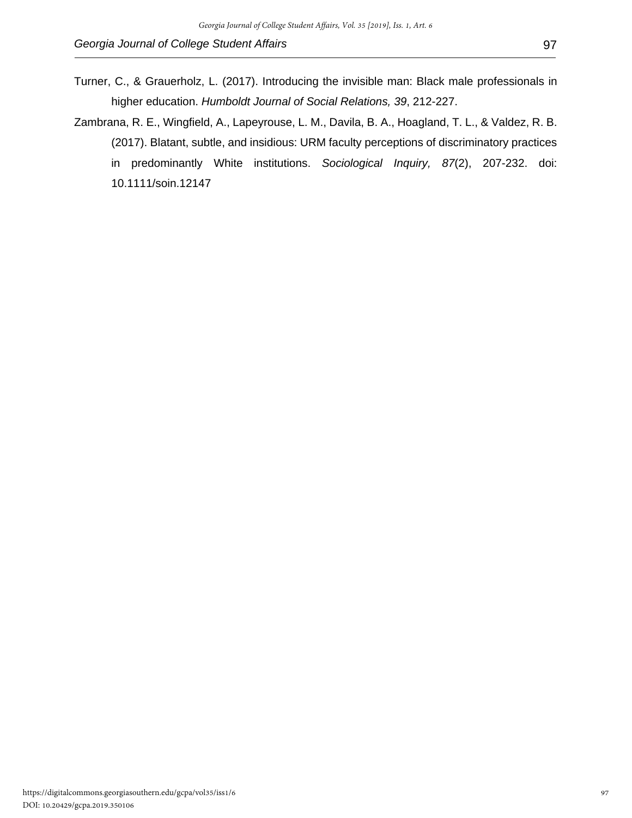- Turner, C., & Grauerholz, L. (2017). Introducing the invisible man: Black male professionals in higher education. *Humboldt Journal of Social Relations, 39*, 212-227.
- Zambrana, R. E., Wingfield, A., Lapeyrouse, L. M., Davila, B. A., Hoagland, T. L., & Valdez, R. B. (2017). Blatant, subtle, and insidious: URM faculty perceptions of discriminatory practices in predominantly White institutions. *Sociological Inquiry, 87*(2), 207-232. doi: 10.1111/soin.12147